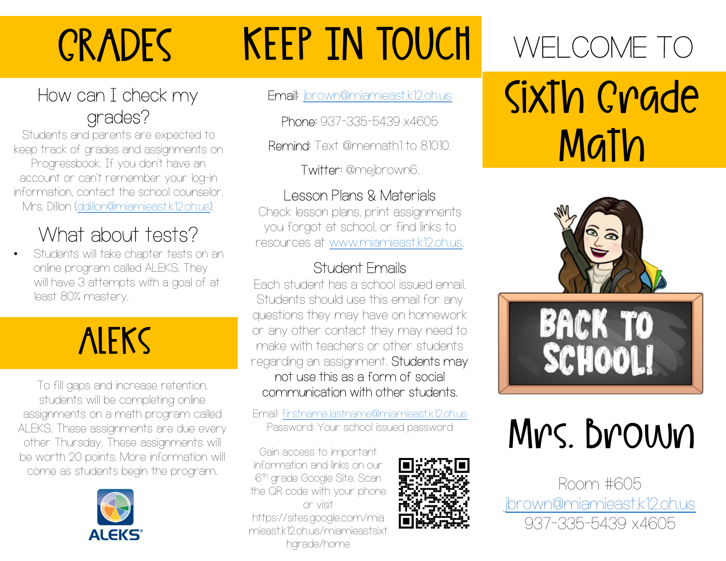# **CRADES**

# KEEP IN TOUCH

### How can I check my grades?

Students and parents are expected to keep track of grades and assignments on Progressbook. If you don't have an account or can't remember your log-in information, contact the school counselor, Mrs. Dillon (ddillon@miamieast.k12.oh.us).

### What about tests?

• Students will take chapter tests on an online program called ALEKS. They will have 3 attempts with a goal of at least 80% mastery.

### **ALEKS**

To fill gaps and increase retention, students will be completing online assignments on a math program called ALEKS. These assignments are due every other Thursday. These assignments will be worth 20 points. More information will come as students begin the program.



### Email: jbrown@miamieast.k12.oh.us

Phone: 937-335-5439 x4605

Remind: Text @memath1 to 81010.

Twitter: @mejbrown6.

### Lesson Plans & Materials

Check lesson plans, print assignments you forgot at school, or find links to resources at <u>www.miamieast.k12.oh.us</u>.<br>Student Emails

Each student has a school issued email. Students should use this email for any questions they may have on homework or any other contact they may need to make with teachers or other students regarding an assignment. Students may not use this as a form of social communication with other students.

Email: firstname.lastname@miamieast.k12.oh.us Password: Your school issued password

Gain access to important information and links on our 6<sup>th</sup> grade Google Site. Scannell **The St** the QR code with your phone or visit https://sites.google.com/mia mieast.k12.oh.us/miamieastsixt hgrade/home



# WELCOME TO Sixth Grade Math



# Mrs. Brown

Room #605 jbrown@miamieast.k12.oh.us 937-335-5439 x4605